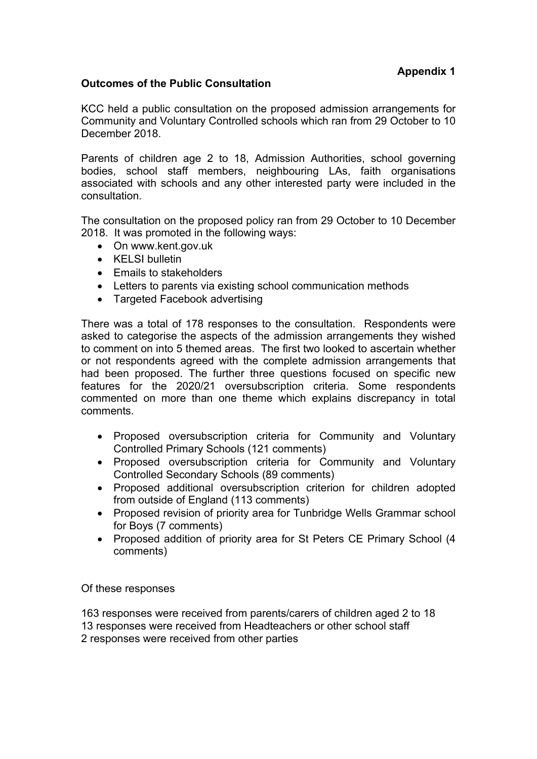# **Outcomes of the Public Consultation**

KCC held a public consultation on the proposed admission arrangements for Community and Voluntary Controlled schools which ran from 29 October to 10 December 2018.

Parents of children age 2 to 18, Admission Authorities, school governing bodies, school staff members, neighbouring LAs, faith organisations associated with schools and any other interested party were included in the consultation.

The consultation on the proposed policy ran from 29 October to 10 December 2018. It was promoted in the following ways:

- On www.kent.gov.uk
- KELSI bulletin
- Fmails to stakeholders
- Letters to parents via existing school communication methods
- Targeted Facebook advertising

There was a total of 178 responses to the consultation. Respondents were asked to categorise the aspects of the admission arrangements they wished to comment on into 5 themed areas. The first two looked to ascertain whether or not respondents agreed with the complete admission arrangements that had been proposed. The further three questions focused on specific new features for the 2020/21 oversubscription criteria. Some respondents commented on more than one theme which explains discrepancy in total comments.

- Proposed oversubscription criteria for Community and Voluntary Controlled Primary Schools (121 comments)
- Proposed oversubscription criteria for Community and Voluntary Controlled Secondary Schools (89 comments)
- Proposed additional oversubscription criterion for children adopted from outside of England (113 comments)
- Proposed revision of priority area for Tunbridge Wells Grammar school for Boys (7 comments)
- Proposed addition of priority area for St Peters CE Primary School (4 comments)

Of these responses

163 responses were received from parents/carers of children aged 2 to 18 13 responses were received from Headteachers or other school staff 2 responses were received from other parties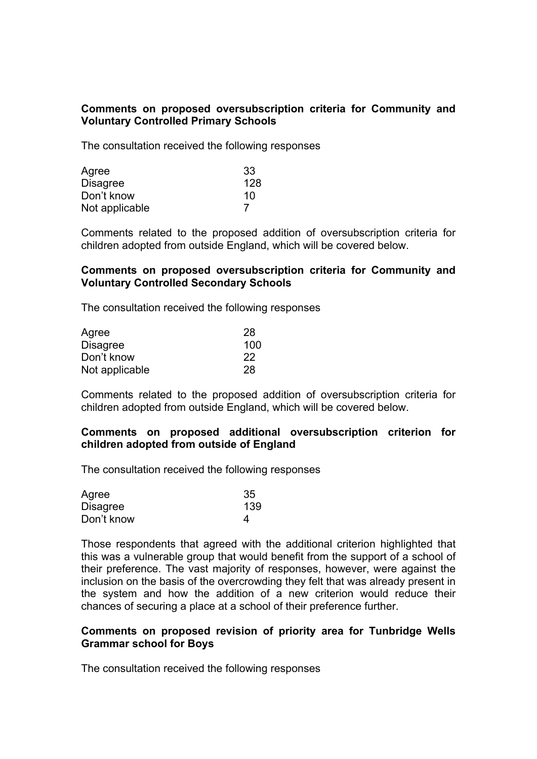# **Comments on proposed oversubscription criteria for Community and Voluntary Controlled Primary Schools**

The consultation received the following responses

| Agree           | 33  |
|-----------------|-----|
| <b>Disagree</b> | 128 |
| Don't know      | 10  |
| Not applicable  |     |

Comments related to the proposed addition of oversubscription criteria for children adopted from outside England, which will be covered below.

### **Comments on proposed oversubscription criteria for Community and Voluntary Controlled Secondary Schools**

The consultation received the following responses

| Agree           | 28  |
|-----------------|-----|
| <b>Disagree</b> | 100 |
| Don't know      | 22  |
| Not applicable  | 28  |

Comments related to the proposed addition of oversubscription criteria for children adopted from outside England, which will be covered below.

#### **Comments on proposed additional oversubscription criterion for children adopted from outside of England**

The consultation received the following responses

| Agree      | 35  |
|------------|-----|
| Disagree   | 139 |
| Don't know | 4   |

Those respondents that agreed with the additional criterion highlighted that this was a vulnerable group that would benefit from the support of a school of their preference. The vast majority of responses, however, were against the inclusion on the basis of the overcrowding they felt that was already present in the system and how the addition of a new criterion would reduce their chances of securing a place at a school of their preference further.

### **Comments on proposed revision of priority area for Tunbridge Wells Grammar school for Boys**

The consultation received the following responses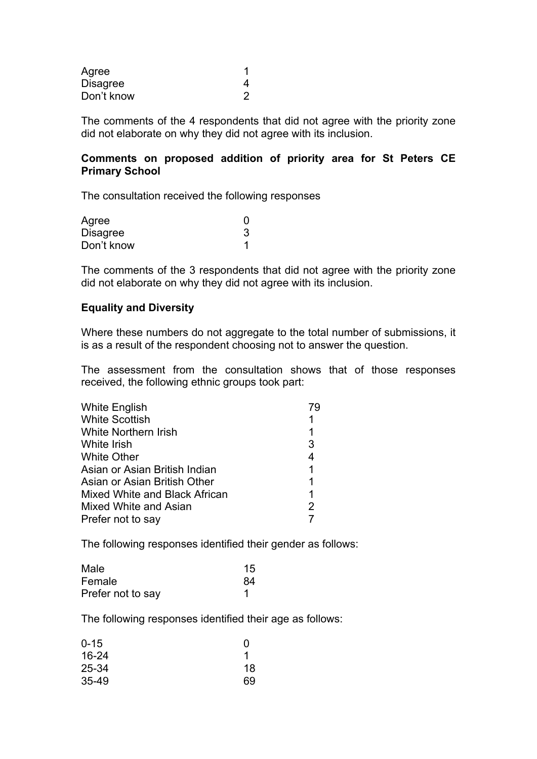| Agree      |   |
|------------|---|
| Disagree   |   |
| Don't know | 2 |

The comments of the 4 respondents that did not agree with the priority zone did not elaborate on why they did not agree with its inclusion.

## **Comments on proposed addition of priority area for St Peters CE Primary School**

The consultation received the following responses

| Agree      |  |
|------------|--|
| Disagree   |  |
| Don't know |  |

The comments of the 3 respondents that did not agree with the priority zone did not elaborate on why they did not agree with its inclusion.

#### **Equality and Diversity**

Where these numbers do not aggregate to the total number of submissions, it is as a result of the respondent choosing not to answer the question.

The assessment from the consultation shows that of those responses received, the following ethnic groups took part:

| White English                 |   |
|-------------------------------|---|
| <b>White Scottish</b>         |   |
| <b>White Northern Irish</b>   | 1 |
| White Irish                   | 3 |
| <b>White Other</b>            | 4 |
| Asian or Asian British Indian | 1 |
| Asian or Asian British Other  | 1 |
| Mixed White and Black African | 1 |
| Mixed White and Asian         | 2 |
| Prefer not to say             |   |

The following responses identified their gender as follows:

| Male              | 15 |
|-------------------|----|
| Female            | 84 |
| Prefer not to say |    |

The following responses identified their age as follows:

| $0 - 15$ | O  |
|----------|----|
| 16-24    |    |
| 25-34    | 18 |
| 35-49    | 69 |